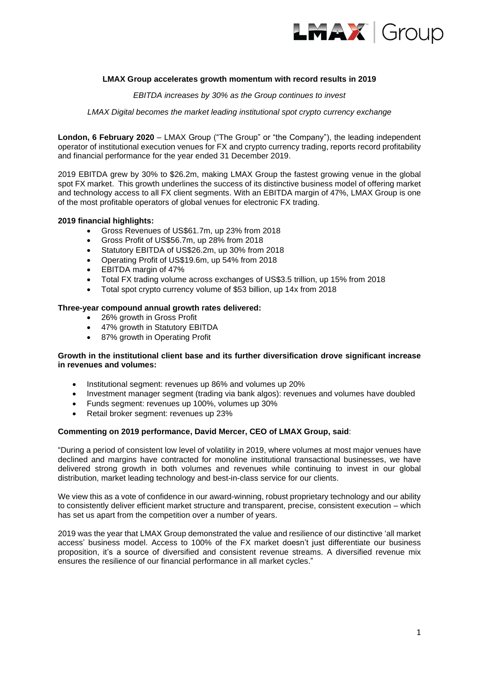

## **LMAX Group accelerates growth momentum with record results in 2019**

*EBITDA increases by 30% as the Group continues to invest* 

*LMAX Digital becomes the market leading institutional spot crypto currency exchange* 

**London, 6 February 2020** – LMAX Group ("The Group" or "the Company"), the leading independent operator of institutional execution venues for FX and crypto currency trading, reports record profitability and financial performance for the year ended 31 December 2019.

2019 EBITDA grew by 30% to \$26.2m, making LMAX Group the fastest growing venue in the global spot FX market. This growth underlines the success of its distinctive business model of offering market and technology access to all FX client segments. With an EBITDA margin of 47%, LMAX Group is one of the most profitable operators of global venues for electronic FX trading.

## **2019 financial highlights:**

- Gross Revenues of US\$61.7m, up 23% from 2018
- Gross Profit of US\$56.7m, up 28% from 2018
- Statutory EBITDA of US\$26.2m, up 30% from 2018
- Operating Profit of US\$19.6m, up 54% from 2018
- EBITDA margin of 47%
- Total FX trading volume across exchanges of US\$3.5 trillion, up 15% from 2018
- Total spot crypto currency volume of \$53 billion, up 14x from 2018

### **Three-year compound annual growth rates delivered:**

- 26% growth in Gross Profit
- 47% growth in Statutory EBITDA
- 87% growth in Operating Profit

## **Growth in the institutional client base and its further diversification drove significant increase in revenues and volumes:**

- Institutional segment: revenues up 86% and volumes up 20%
- Investment manager segment (trading via bank algos): revenues and volumes have doubled
- Funds segment: revenues up 100%, volumes up 30%
- Retail broker segment: revenues up 23%

### **Commenting on 2019 performance, David Mercer, CEO of LMAX Group, said**:

"During a period of consistent low level of volatility in 2019, where volumes at most major venues have declined and margins have contracted for monoline institutional transactional businesses, we have delivered strong growth in both volumes and revenues while continuing to invest in our global distribution, market leading technology and best-in-class service for our clients.

We view this as a vote of confidence in our award-winning, robust proprietary technology and our ability to consistently deliver efficient market structure and transparent, precise, consistent execution – which has set us apart from the competition over a number of years.

2019 was the year that LMAX Group demonstrated the value and resilience of our distinctive 'all market access' business model. Access to 100% of the FX market doesn't just differentiate our business proposition, it's a source of diversified and consistent revenue streams. A diversified revenue mix ensures the resilience of our financial performance in all market cycles."